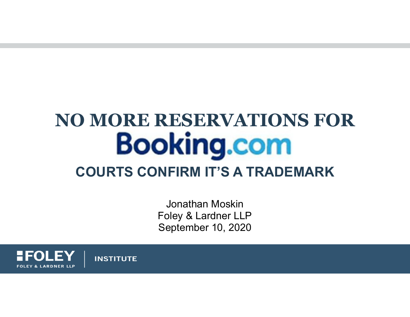# **NO MORE RESERVATIONS FOR Booking.com COURTS CONFIRM IT'S A TRADEMARK**

Jonathan MoskinFoley & Lardner LLP September 10, 2020

**FOLEY & LARDNER LLP** 

**INSTITUTE**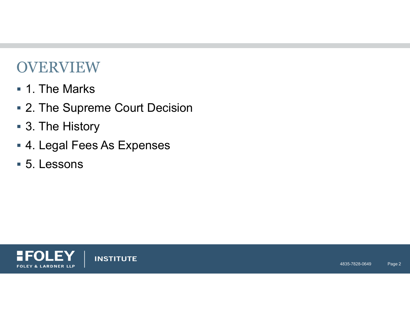### OVERVIEW

- 1. The Marks
- 2. The Supreme Court Decision
- 3. The History
- 4. Legal Fees As Expenses
- 5. Lessons



**INSTITUTE**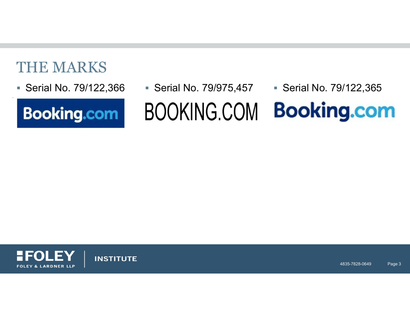### THE MARKS

Serial No. 79/122,366



 Serial No. 79/122,366 Serial No. 79/975,457 Serial No. 79/122,365 **Booking.com BOOKING.COM** 



**INSTITUTE**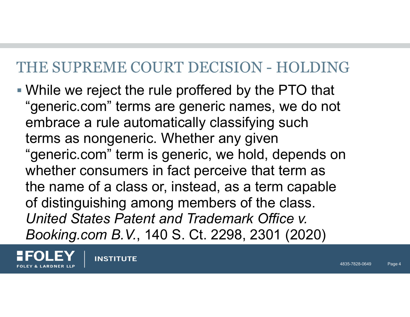### THE SUPREME COURT DECISION - HOLDING

 While we reject the rule proffered by the PTO that "generic.com" terms are generic names, we do not embrace a rule automatically classifying such terms as nongeneric. Whether any given "generic.com" term is generic, we hold, depends on whether consumers in fact perceive that term as the name of a class or, instead, as a term capable of distinguishing among members of the class. *United States Patent and Trademark Office v. Booking.com B.V.*, 140 S.Ct. 2298, 2301 (2020)

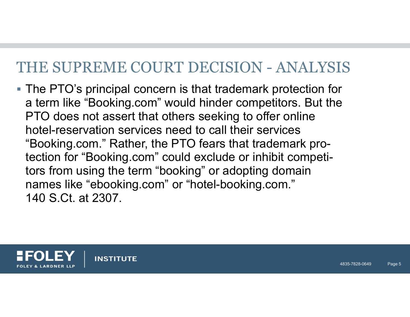### THE SUPREME COURT DECISION - ANALYSIS

■ The PTO's principal concern is that trademark protection for a term like "Booking.com" would hinder competitors. But the PTO does not assert that others seeking to offer online hotel-reservation services need to call their services "Booking.com." Rather, the PTO fears that trademark protection for "Booking.com" could exclude or inhibit competitors from using the term "booking" or adopting domain names like "ebooking.com" or "hotel-booking.com." 140 S.Ct. at 2307.

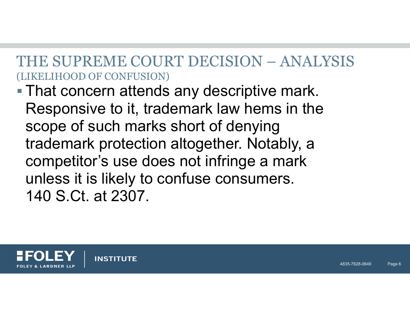#### THE SUPREME COURT DECISION – ANALYSIS(LIKELIHOOD OF CONFUSION)

■ That concern attends any descriptive mark. Responsive to it, trademark law hems in the scope of such marks short of denying trademark protection altogether. Notably, a competitor's use does not infringe a mark unless it is likely to confuse consumers. 140 S.Ct. at 2307.



**INSTITUTE**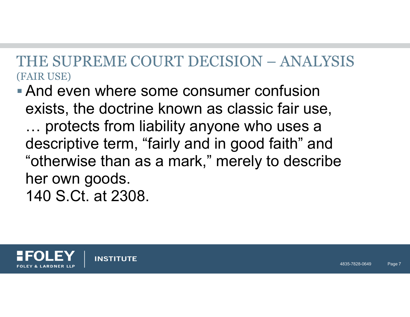### THE SUPREME COURT DECISION – ANALYSIS(FAIR USE)

**And even where some consumer confusion** exists, the doctrine known as classic fair use, … protects from liability anyone who uses a descriptive term, "fairly and in good faith" and "otherwise than as a mark," merely to describe her own goods. 140 S.Ct. at 2308.



**INSTITUTE**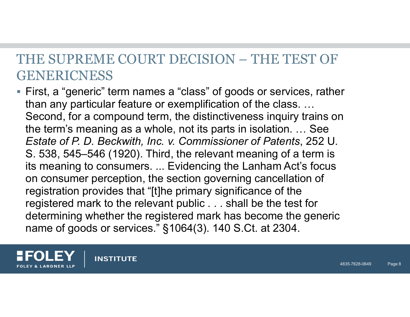### THE SUPREME COURT DECISION – THE TEST OF GENERICNESS

 First, a "generic" term names a "class" of goods or services, rather than any particular feature or exemplification of the class. … Second, for a compound term, the distinctiveness inquiry trains on the term's meaning as a whole, not its parts in isolation. … See *Estate of P. D. Beckwith, Inc. v. Commissioner of Patents*, 252 U. S. 538, 545–546 (1920). Third, the relevant meaning of a term is its meaning to consumers. ... Evidencing the Lanham Act's focus on consumer perception, the section governing cancellation of registration provides that "[t]he primary significance of the registered mark to the relevant public . . . shall be the test for determining whether the registered mark has become the generic name of goods or services." §1064(3). 140 S.Ct. at 2304.

**INSTITUTE & LARDNER LLF**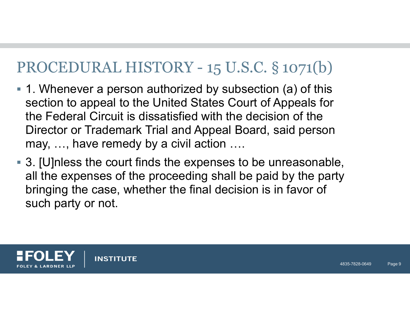# PROCEDURAL HISTORY - 15 U.S.C. § 1071(b)

- 1. Whenever a person authorized by subsection (a) of this section to appeal to the United States Court of Appeals for the Federal Circuit is dissatisfied with the decision of the Director or Trademark Trial and Appeal Board, said person may, …, have remedy by a civil action ….
- 3. [U]nless the court finds the expenses to be unreasonable, all the expenses of the proceeding shall be paid by the party bringing the case, whether the final decision is in favor of such party or not.



**INSTITUTE**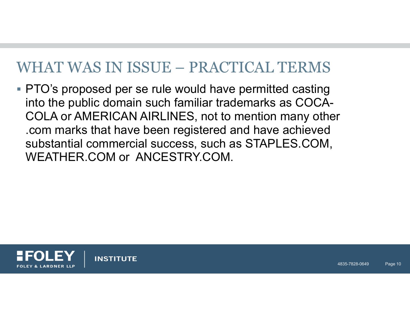### WHAT WAS IN ISSUE – PRACTICAL TERMS

**PTO's proposed per se rule would have permitted casting** into the public domain such familiar trademarks as COCA-COLA or AMERICAN AIRLINES, not to mention many other .com marks that have been registered and have achieved substantial commercial success, such as STAPLES.COM, WEATHER.COM or ANCESTRY.COM.



**INSTITUTE**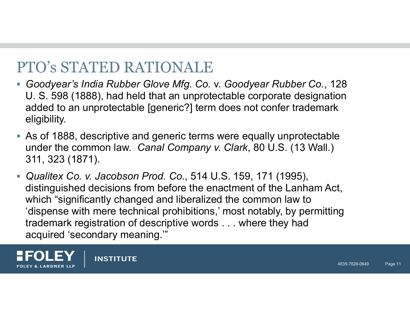# PTO's STATED RATIONALE

- *Goodyear's India Rubber Glove Mfg. Co.* v. *Goodyear Rubber Co.*, 128 U. S. 598 (1888), had held that an unprotectable corporate designation added to an unprotectable [generic?] term does not confer trademark eligibility.
- As of 1888, descriptive and generic terms were equally unprotectable under the common law. *Canal Company v. Clark*, 80 U.S. (13 Wall.) 311, 323 (1871).
- *Qualitex Co. v. Jacobson Prod. Co.*, 514 U.S. 159, 171 (1995), distinguished decisions from before the enactment of the Lanham Act, which "significantly changed and liberalized the common law to 'dispense with mere technical prohibitions,' most notably, by permitting trademark registration of descriptive words . . . where they had acquired 'secondary meaning."



**INSTITUTE**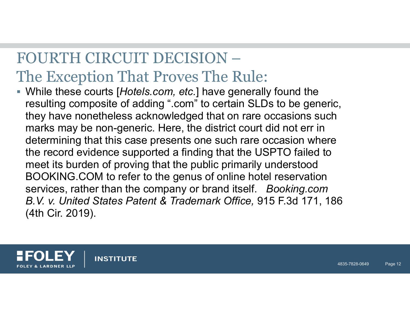# FOURTH CIRCUIT DECISION –The Exception That Proves The Rule:

 While these courts [*Hotels.com, etc.*] have generally found the resulting composite of adding ".com" to certain SLDs to be generic, they have nonetheless acknowledged that on rare occasions such marks may be non-generic. Here, the district court did not err in determining that this case presents one such rare occasion where the record evidence supported a finding that the USPTO failed to meet its burden of proving that the public primarily understood BOOKING.COM to refer to the genus of online hotel reservation services, rather than the company or brand itself. *Booking.com B.V. v. United States Patent & Trademark Office,* 915 F.3d 171, 186 (4th Cir. 2019).



**INSTITUTE**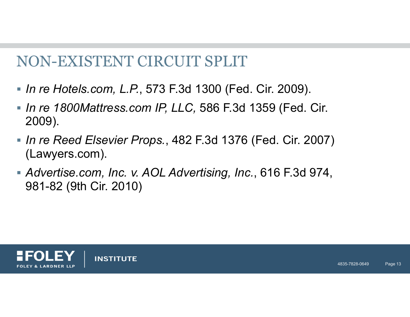### NON-EXISTENT CIRCUIT SPLIT

- *In re Hotels.com, L.P.*, 573 F.3d 1300 (Fed. Cir. 2009).
- *In re 1800Mattress.com IP, LLC,* 586 F.3d 1359 (Fed. Cir. 2009).
- *In re Reed Elsevier Props.*, 482 F.3d 1376 (Fed. Cir. 2007) (Lawyers.com).
- *Advertise.com, Inc. v. AOL Advertising, Inc.*, 616 F.3d 974, 981-82 (9th Cir. 2010)

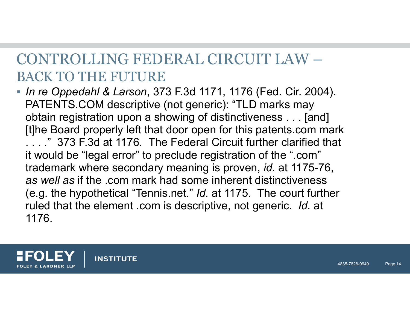# CONTROLLING FEDERAL CIRCUIT LAW –BACK TO THE FUTURE

 *In re Oppedahl & Larson*, 373 F.3d 1171, 1176 (Fed. Cir. 2004). PATENTS.COM descriptive (not generic): "TLD marks may obtain registration upon a showing of distinctiveness . . . [and] [t]he Board properly left that door open for this patents.com mark . . . ." 373 F.3d at 1176. The Federal Circuit further clarified that it would be "legal error" to preclude registration of the ".com" trademark where secondary meaning is proven, *id.* at 1175-76, *as well as* if the .com mark had some inherent distinctiveness (e.g. the hypothetical "Tennis.net." *Id.* at 1175. The court further ruled that the element .com is descriptive, not generic. *Id.* at 1176.

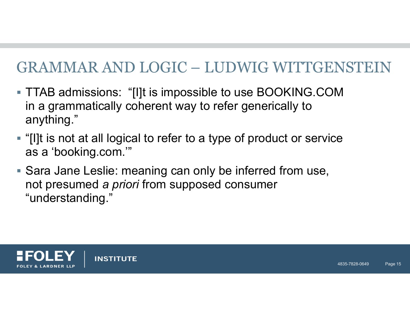# GRAMMAR AND LOGIC – LUDWIG WITTGENSTEIN

- TTAB admissions: "[I]t is impossible to use BOOKING.COM in a grammatically coherent way to refer generically to anything."
- "[I]t is not at all logical to refer to a type of product or service as a 'booking.com.'"
- Sara Jane Leslie: meaning can only be inferred from use, not presumed *a priori* from supposed consumer "understanding."



**INSTITUTE**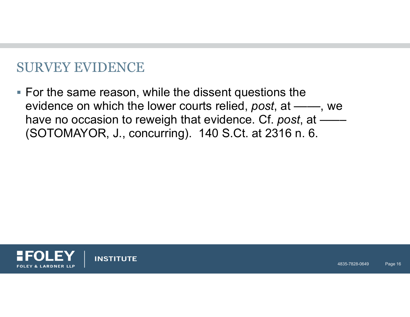#### SURVEY EVIDENCE

 $\blacksquare$  For the same reason, while the dissent questions the evidence on which the lower courts relied, *post*, at ——, we have no occasion to reweigh that evidence. Cf. post, at  $\frac{1}{1}$ (SOTOMAYOR, J., concurring). 140 S.Ct. at 2316 n. 6.



**INSTITUTE**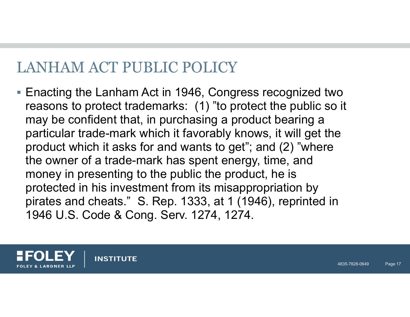# LANHAM ACT PUBLIC POLICY

■ Enacting the Lanham Act in 1946, Congress recognized two reasons to protect trademarks: (1) "to protect the public so it may be confident that, in purchasing a product bearing a particular trade-mark which it favorably knows, it will get the product which it asks for and wants to get"; and (2) "where the owner of a trade-mark has spent energy, time, and money in presenting to the public the product, he is protected in his investment from its misappropriation by pirates and cheats." S. Rep. 1333, at 1 (1946), reprinted in 1946 U.S. Code & Cong. Serv. 1274, 1274.



**INSTITUTE**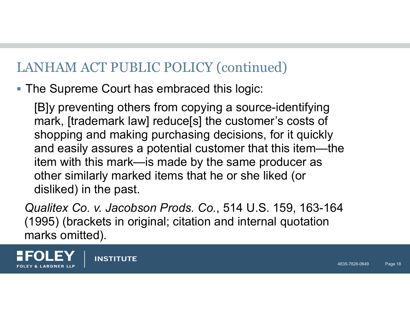### LANHAM ACT PUBLIC POLICY (continued)

**The Supreme Court has embraced this logic:** 

[B]y preventing others from copying a source-identifying mark, [trademark law] reduce[s] the customer's costs of shopping and making purchasing decisions, for it quickly and easily assures a potential customer that this item—the item with this mark—is made by the same producer as other similarly marked items that he or she liked (or disliked) in the past.

*Qualitex Co. v. Jacobson Prods. Co.*, 514 U.S. 159, 163-164 (1995) (brackets in original; citation and internal quotation marks omitted).



**INSTITUTE**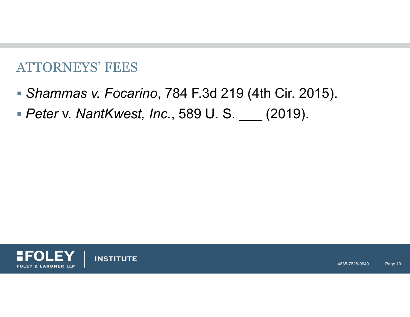#### ATTORNEYS' FEES

- *Shammas v. Focarino*, 784 F.3d 219 (4th Cir. 2015).
- *Peter* v. *NantKwest, Inc.*, 589 U. S. \_\_\_ (2019).



**INSTITUTE**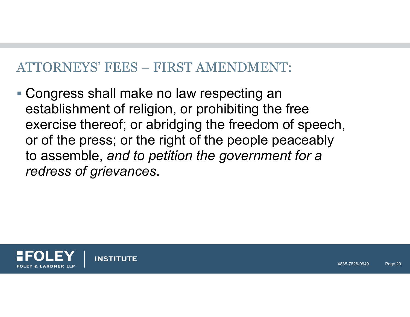#### ATTORNEYS' FEES – FIRST AMENDMENT:

■ Congress shall make no law respecting an establishment of religion, or prohibiting the free exercise thereof; or abridging the freedom of speech, or of the press; or the right of the people peaceably to assemble, *and to petition the government for a redress of grievances*.

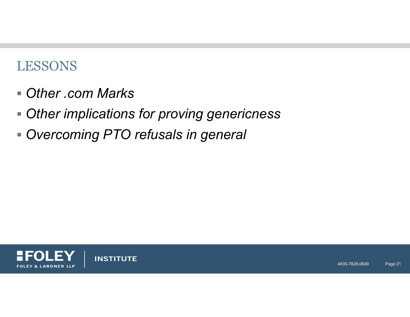#### LESSONS

- *Other .com Marks*
- *Other implications for proving genericness*
- *Overcoming PTO refusals in general*



**INSTITUTE**